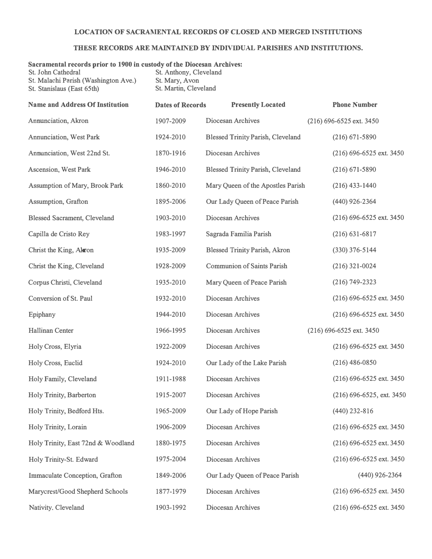## **LOCATION OF SACRAMENTAL RECORDS OF CLOSED A.�D MERGED INSTITUTIONS**

## **THESE RECORDS ARE MAINTAINED BY INDIVIDUAL PARISHES AND INSTITUTIONS.**

## **Sacramental records prior to 1900 in custody of the Diocesan Archives:**

| St. John Cathedral                   | St. Anthony, Cleveland |
|--------------------------------------|------------------------|
| St. Malachi Parish (Washington Ave.) | St. Mary, Avon         |
| St. Stanislaus (East 65th)           | St. Martin, Cleveland  |

| <b>Name and Address Of Institution</b> | <b>Dates of Records</b> | <b>Presently Located</b>                 | <b>Phone Number</b>       |
|----------------------------------------|-------------------------|------------------------------------------|---------------------------|
| Annunciation, Akron                    | 1907-2009               | Diocesan Archives                        | (216) 696-6525 ext. 3450  |
| <b>Annunciation, West Park</b>         | 1924-2010               | <b>Blessed Trinity Parish, Cleveland</b> | $(216)$ 671-5890          |
| Annunciation, West 22nd St.            | 1870-1916               | Diocesan Archives                        | (216) 696-6525 ext. 3450  |
| Ascension, West Park                   | 1946-2010               | <b>Blessed Trinity Parish, Cleveland</b> | $(216)$ 671-5890          |
| Assumption of Mary, Brook Park         | 1860-2010               | Mary Queen of the Apostles Parish        | $(216)$ 433-1440          |
| Assumption, Grafton                    | 1895-2006               | Our Lady Queen of Peace Parish           | $(440)$ 926-2364          |
| <b>Blessed Sacrament, Cleveland</b>    | 1903-2010               | Diocesan Archives                        | (216) 696-6525 ext. 3450  |
| Capilla de Cristo Rey                  | 1983-1997               | Sagrada Familia Parish                   | $(216) 631 - 6817$        |
| Christ the King, Alron                 | 1935-2009               | <b>Blessed Trinity Parish, Akron</b>     | $(330)$ 376-5144          |
| Christ the King, Cleveland             | 1928-2009               | <b>Communion of Saints Parish</b>        | $(216)$ 321-0024          |
| Corpus Christi, Cleveland              | 1935-2010               | Mary Queen of Peace Parish               | $(216) 749 - 2323$        |
| Conversion of St. Paul                 | 1932-2010               | Diocesan Archives                        | (216) 696-6525 ext. 3450  |
| Epiphany                               | 1944-2010               | Diocesan Archives                        | (216) 696-6525 ext. 3450  |
| <b>Hallinan Center</b>                 | 1966-1995               | Diocesan Archives                        | (216) 696-6525 ext. 3450  |
| Holy Cross, Elyria                     | 1922-2009               | Diocesan Archives                        | (216) 696-6525 ext. 3450  |
| Holy Cross, Euclid                     | 1924-2010               | Our Lady of the Lake Parish              | $(216)$ 486-0850          |
| Holy Family, Cleveland                 | 1911-1988               | Diocesan Archives                        | (216) 696-6525 ext. 3450  |
| Holy Trinity, Barberton                | 1915-2007               | Diocesan Archives                        | (216) 696-6525, ext. 3450 |
| Holy Trinity, Bedford Hts.             | 1965-2009               | Our Lady of Hope Parish                  | $(440)$ 232-816           |
| Holy Trinity, Lorain                   | 1906-2009               | Diocesan Archives                        | (216) 696-6525 ext. 3450  |
| Holy Trinity, East 72nd & Woodland     | 1880-1975               | Diocesan Archives                        | (216) 696-6525 ext. 3450  |
| Holy Trinity-St. Edward                | 1975-2004               | Diocesan Archives                        | (216) 696-6525 ext. 3450  |
| Immaculate Conception, Grafton         | 1849-2006               | Our Lady Queen of Peace Parish           | $(440)$ 926-2364          |
| Marycrest/Good Shepherd Schools        | 1877-1979               | Diocesan Archives                        | (216) 696-6525 ext. 3450  |
| Nativity, Cleveland                    | 1903-1992               | Diocesan Archives                        | (216) 696-6525 ext. 3450  |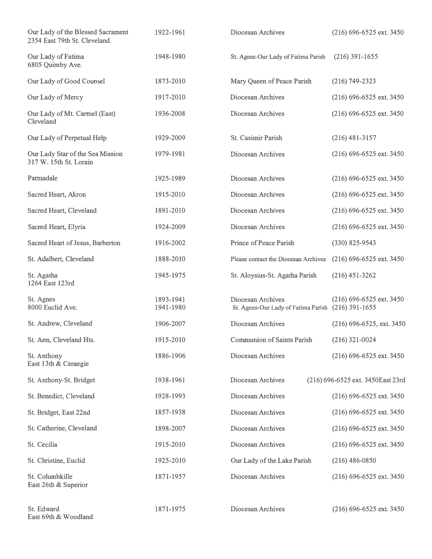| Our Lady of the Blessed Sacrament<br>2354 East 79th St. Cleveland. | 1922-1961              | Diocesan Archives                                        | (216) 696-6525 ext. 3450                     |
|--------------------------------------------------------------------|------------------------|----------------------------------------------------------|----------------------------------------------|
| Our Lady of Fatima<br>6805 Quimby Ave.                             | 1948-1980              | St. Agnes-Our Lady of Fatima Parish                      | $(216)$ 391-1655                             |
| Our Lady of Good Counsel                                           | 1873-2010              | Mary Queen of Peace Parish                               | $(216) 749 - 2323$                           |
| Our Lady of Mercy                                                  | 1917-2010              | Diocesan Archives                                        | (216) 696-6525 ext. 3450                     |
| Our Lady of Mt. Carmel (East)<br>Cleveland                         | 1936-2008              | Diocesan Archives                                        | (216) 696-6525 ext. 3450                     |
| Our Lady of Perpetual Help                                         | 1929-2009              | <b>St. Casimir Parish</b>                                | $(216)$ 481-3157                             |
| Our Lady Star of the Sea Mission<br>317 W. 15th St. Lorain         | 1979-1981              | Diocesan Archives                                        | (216) 696-6525 ext. 3450                     |
| Parmadale                                                          | 1925-1989              | Diocesan Archives                                        | (216) 696-6525 ext. 3450                     |
| Sacred Heart, Akron                                                | 1915-2010              | Diocesan Archives                                        | (216) 696-6525 ext. 3450                     |
| Sacred Heart, Cleveland                                            | 1891-2010              | Diocesan Archives                                        | (216) 696-6525 ext. 3450                     |
| Sacred Heart, Elyria                                               | 1924-2009              | Diocesan Archives                                        | (216) 696-6525 ext. 3450                     |
| Sacred Heart of Jesus, Barberton                                   | 1916-2002              | Prince of Peace Parish                                   | (330) 825-9543                               |
| St. Adalbert, Cleveland                                            | 1888-2010              | Please contact the Diocesan Archives                     | $(216)$ 696-6525 ext. 3450                   |
| St. Agatha<br>1264 East 123rd                                      | 1945-1975              | St. Aloysius-St. Agatha Parish                           | $(216)$ 451-3262                             |
| St. Agnes<br>8000 Euclid Ave.                                      | 1893-1941<br>1941-1980 | Diocesan Archives<br>St. Agnes-Our Lady of Fatima Parish | (216) 696-6525 ext. 3450<br>$(216)$ 391-1655 |
| St. Andrew, Cleveland                                              | 1906-2007              | Diocesan Archives                                        | (216) 696-6525, ext. 3450                    |
| St. Ann, Cleveland Hts.                                            | 1915-2010              | <b>Communion of Saints Parish</b>                        | $(216)$ 321-0024                             |
| St. Anthony<br>East 13th & Carnegie                                | 1886-1906              | Diocesan Archives                                        | (216) 696-6525 ext. 3450                     |
| St. Anthony-St. Bridget                                            | 1938-1961              | Diocesan Archives                                        | (216) 696-6525 ext. 3450East 23rd            |
| St. Benedict, Cleveland                                            | 1928-1993              | Diocesan Archives                                        | (216) 696-6525 ext. 3450                     |
| St. Bridget, East 22nd                                             | 1857-1938              | Diocesan Archives                                        | (216) 696-6525 ext. 3450                     |
| St. Catherine, Cleveland                                           | 1898-2007              | Diocesan Archives                                        | (216) 696-6525 ext. 3450                     |
| St. Cecilia                                                        | 1915-2010              | Diocesan Archives                                        | (216) 696-6525 ext. 3450                     |
| St. Christine, Euclid                                              | 1925-2010              | Our Lady of the Lake Parish                              | $(216)$ 486-0850                             |
| St. Columbkille<br>East 26th & Superior                            | 1871-1957              | Diocesan Archives                                        | (216) 696-6525 ext. 3450                     |
| St. Edward<br>East 69th & Woodland                                 | 1871-1975              | Diocesan Archives                                        | (216) 696-6525 ext. 3450                     |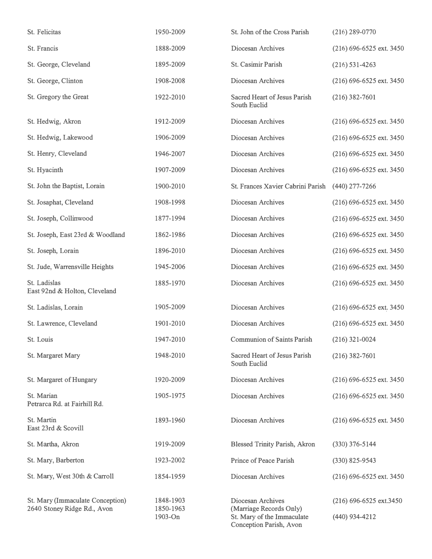| St. Felicitas                                                   | 1950-2009                         | St. John of the Cross Parish                                                                          | $(216)$ 289-0770                            |
|-----------------------------------------------------------------|-----------------------------------|-------------------------------------------------------------------------------------------------------|---------------------------------------------|
| St. Francis                                                     | 1888-2009                         | Diocesan Archives                                                                                     | $(216)$ 696-6525 ext. 3450                  |
| St. George, Cleveland                                           | 1895-2009                         | St. Casimir Parish                                                                                    | $(216)$ 531-4263                            |
| St. George, Clinton                                             | 1908-2008                         | Diocesan Archives                                                                                     | (216) 696-6525 ext. 3450                    |
| St. Gregory the Great                                           | 1922-2010                         | Sacred Heart of Jesus Parish<br>South Euclid                                                          | $(216)$ 382-7601                            |
| St. Hedwig. Akron                                               | 1912-2009                         | Diocesan Archives                                                                                     | (216) 696-6525 ext. 3450                    |
| St. Hedwig, Lakewood                                            | 1906-2009                         | Diocesan Archives                                                                                     | (216) 696-6525 ext. 3450                    |
| St. Henry, Cleveland                                            | 1946-2007                         | Diocesan Archives                                                                                     | (216) 696-6525 ext. 3450                    |
| St. Hyacinth                                                    | 1907-2009                         | Diocesan Archives                                                                                     | (216) 696-6525 ext. 3450                    |
| St. John the Baptist, Lorain                                    | 1900-2010                         | St. Frances Xavier Cabrini Parish                                                                     | $(440)$ 277-7266                            |
| St. Josaphat, Cleveland                                         | 1908-1998                         | Diocesan Archives                                                                                     | (216) 696-6525 ext. 3450                    |
| St. Joseph, Collinwood                                          | 1877-1994                         | Diocesan Archives                                                                                     | (216) 696-6525 ext. 3450                    |
| St. Joseph, East 23rd & Woodland                                | 1862-1986                         | Diocesan Archives                                                                                     | (216) 696-6525 ext. 3450                    |
| St. Joseph, Lorain                                              | 1896-2010                         | Diocesan Archives                                                                                     | (216) 696-6525 ext. 3450                    |
| St. Jude, Warrensville Heights                                  | 1945-2006                         | Diocesan Archives                                                                                     | $(216)$ 696-6525 ext. 3450                  |
| St. Ladislas<br>East 92nd & Holton, Cleveland                   | 1885-1970                         | Diocesan Archives                                                                                     | (216) 696-6525 ext. 3450                    |
| St. Ladislas, Lorain                                            | 1905-2009                         | Diocesan Archives                                                                                     | (216) 696-6525 ext. 3450                    |
| St. Lawrence, Cleveland                                         | 1901-2010                         | Diocesan Archives                                                                                     | (216) 696-6525 ext. 3450                    |
| St. Louis                                                       | 1947-2010                         | <b>Communion of Saints Parish</b>                                                                     | $(216)$ 321-0024                            |
| St. Margaret Mary                                               | 1948-2010                         | Sacred Heart of Jesus Parish<br>South Euclid                                                          | $(216)$ 382-7601                            |
| St. Margaret of Hungary                                         | 1920-2009                         | Diocesan Archives                                                                                     | (216) 696-6525 ext. 3450                    |
| St. Marian<br>Petrarca Rd. at Fairhill Rd.                      | 1905-1975                         | Diocesan Archives                                                                                     | (216) 696-6525 ext. 3450                    |
| St. Martin<br>East 23rd & Scovill                               | 1893-1960                         | Diocesan Archives                                                                                     | (216) 696-6525 ext. 3450                    |
| St. Martha, Akron                                               | 1919-2009                         | <b>Blessed Trinity Parish, Akron</b>                                                                  | $(330)$ 376-5144                            |
| St. Mary, Barberton                                             | 1923-2002                         | Prince of Peace Parish                                                                                | $(330)$ 825-9543                            |
| St. Mary, West 30th & Carroll                                   | 1854-1959                         | Diocesan Archives                                                                                     | $(216)$ 696-6525 ext. 3450                  |
| St. Mary (Immaculate Conception)<br>2640 Stoney Ridge Rd., Avon | 1848-1903<br>1850-1963<br>1903-On | Diocesan Archives<br>(Marriage Records Only)<br>St. Mary of the Immaculate<br>Conception Parish, Avon | $(216)$ 696-6525 ext.3450<br>(440) 934-4212 |